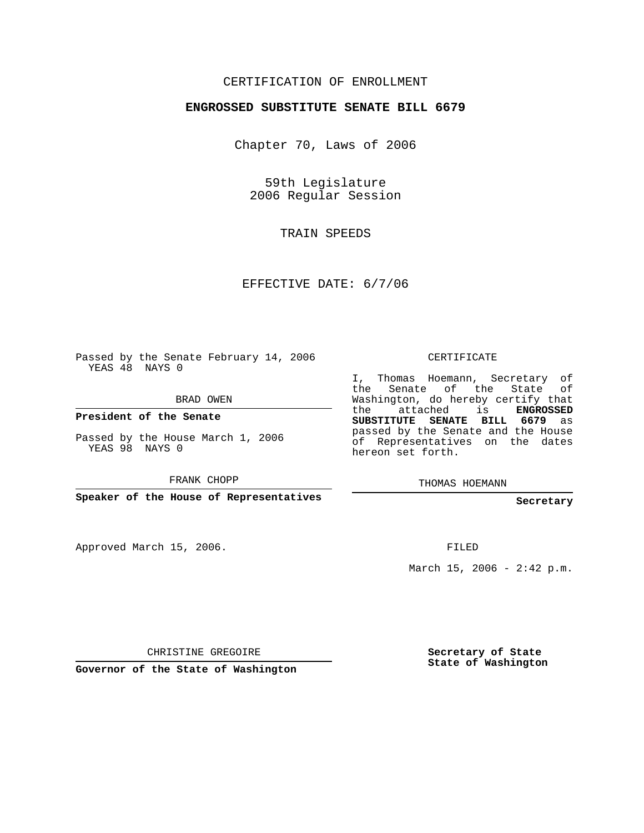## CERTIFICATION OF ENROLLMENT

## **ENGROSSED SUBSTITUTE SENATE BILL 6679**

Chapter 70, Laws of 2006

59th Legislature 2006 Regular Session

TRAIN SPEEDS

EFFECTIVE DATE: 6/7/06

Passed by the Senate February 14, 2006 YEAS 48 NAYS 0

BRAD OWEN

**President of the Senate**

Passed by the House March 1, 2006 YEAS 98 NAYS 0

FRANK CHOPP

**Speaker of the House of Representatives**

Approved March 15, 2006.

CERTIFICATE

I, Thomas Hoemann, Secretary of the Senate of the State of Washington, do hereby certify that the attached is **ENGROSSED SUBSTITUTE SENATE BILL 6679** as passed by the Senate and the House of Representatives on the dates hereon set forth.

THOMAS HOEMANN

**Secretary**

FILED

March 15, 2006 -  $2:42$  p.m.

CHRISTINE GREGOIRE

**Governor of the State of Washington**

**Secretary of State State of Washington**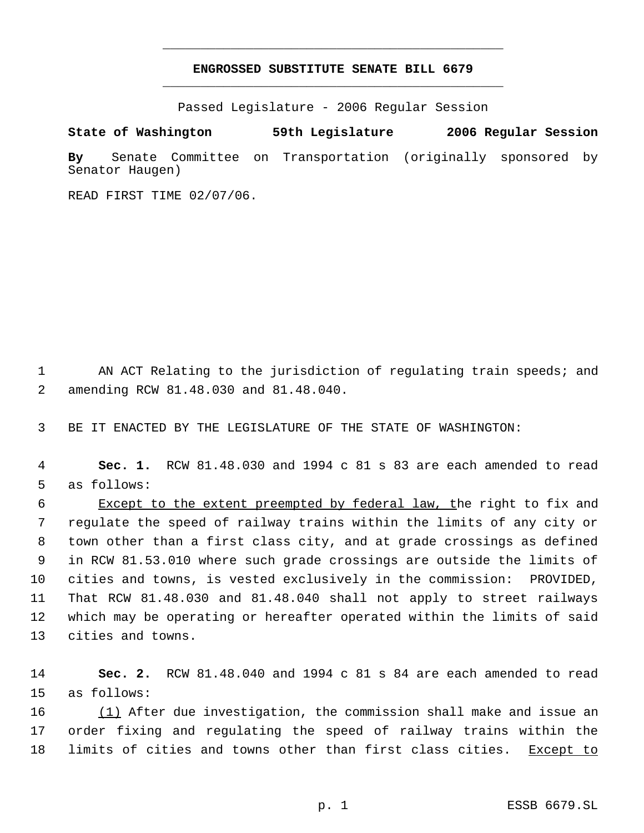## **ENGROSSED SUBSTITUTE SENATE BILL 6679** \_\_\_\_\_\_\_\_\_\_\_\_\_\_\_\_\_\_\_\_\_\_\_\_\_\_\_\_\_\_\_\_\_\_\_\_\_\_\_\_\_\_\_\_\_

\_\_\_\_\_\_\_\_\_\_\_\_\_\_\_\_\_\_\_\_\_\_\_\_\_\_\_\_\_\_\_\_\_\_\_\_\_\_\_\_\_\_\_\_\_

Passed Legislature - 2006 Regular Session

**State of Washington 59th Legislature 2006 Regular Session By** Senate Committee on Transportation (originally sponsored by Senator Haugen)

READ FIRST TIME 02/07/06.

 1 AN ACT Relating to the jurisdiction of regulating train speeds; and 2 amending RCW 81.48.030 and 81.48.040.

3 BE IT ENACTED BY THE LEGISLATURE OF THE STATE OF WASHINGTON:

 4 **Sec. 1.** RCW 81.48.030 and 1994 c 81 s 83 are each amended to read 5 as follows:

6 Except to the extent preempted by federal law, the right to fix and regulate the speed of railway trains within the limits of any city or town other than a first class city, and at grade crossings as defined in RCW 81.53.010 where such grade crossings are outside the limits of cities and towns, is vested exclusively in the commission: PROVIDED, That RCW 81.48.030 and 81.48.040 shall not apply to street railways which may be operating or hereafter operated within the limits of said cities and towns.

14 **Sec. 2.** RCW 81.48.040 and 1994 c 81 s 84 are each amended to read 15 as follows:

16 (1) After due investigation, the commission shall make and issue an 17 order fixing and regulating the speed of railway trains within the 18 limits of cities and towns other than first class cities. Except to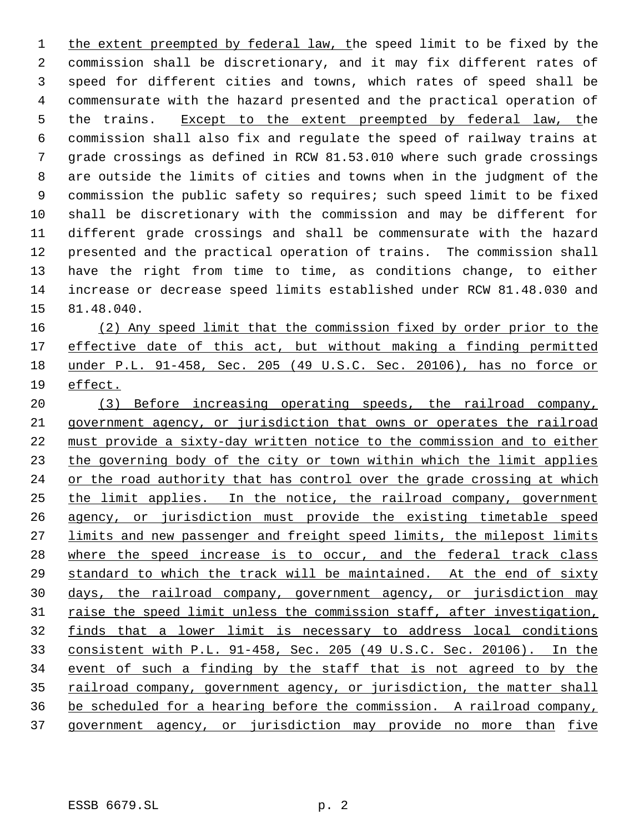1 the extent preempted by federal law, the speed limit to be fixed by the commission shall be discretionary, and it may fix different rates of speed for different cities and towns, which rates of speed shall be commensurate with the hazard presented and the practical operation of 5 the trains. Except to the extent preempted by federal law, the commission shall also fix and regulate the speed of railway trains at grade crossings as defined in RCW 81.53.010 where such grade crossings are outside the limits of cities and towns when in the judgment of the commission the public safety so requires; such speed limit to be fixed shall be discretionary with the commission and may be different for different grade crossings and shall be commensurate with the hazard presented and the practical operation of trains. The commission shall have the right from time to time, as conditions change, to either increase or decrease speed limits established under RCW 81.48.030 and 81.48.040.

 (2) Any speed limit that the commission fixed by order prior to the 17 effective date of this act, but without making a finding permitted under P.L. 91-458, Sec. 205 (49 U.S.C. Sec. 20106), has no force or effect.

 (3) Before increasing operating speeds, the railroad company, government agency, or jurisdiction that owns or operates the railroad must provide a sixty-day written notice to the commission and to either 23 the governing body of the city or town within which the limit applies or the road authority that has control over the grade crossing at which 25 the limit applies. In the notice, the railroad company, government agency, or jurisdiction must provide the existing timetable speed 27 limits and new passenger and freight speed limits, the milepost limits 28 where the speed increase is to occur, and the federal track class 29 standard to which the track will be maintained. At the end of sixty days, the railroad company, government agency, or jurisdiction may 31 raise the speed limit unless the commission staff, after investigation, finds that a lower limit is necessary to address local conditions consistent with P.L. 91-458, Sec. 205 (49 U.S.C. Sec. 20106). In the event of such a finding by the staff that is not agreed to by the 35 railroad company, government agency, or jurisdiction, the matter shall be scheduled for a hearing before the commission. A railroad company, government agency, or jurisdiction may provide no more than five